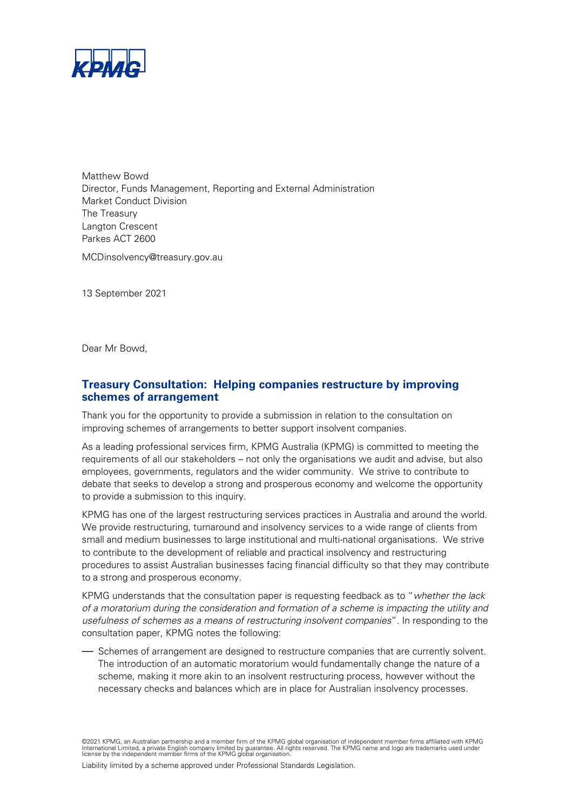

Matthew Bowd Director, Funds Management, Reporting and External Administration Market Conduct Division The Treasury Langton Crescent Parkes ACT 2600 MCDinsolvency@treasury.gov.au

13 September 2021

Dear Mr Bowd,

# **Treasury Consultation: Helping companies restructure by improving schemes of arrangement**

Thank you for the opportunity to provide a submission in relation to the consultation on improving schemes of arrangements to better support insolvent companies.

As a leading professional services firm, KPMG Australia (KPMG) is committed to meeting the requirements of all our stakeholders – not only the organisations we audit and advise, but also employees, governments, regulators and the wider community. We strive to contribute to debate that seeks to develop a strong and prosperous economy and welcome the opportunity to provide a submission to this inquiry.

KPMG has one of the largest restructuring services practices in Australia and around the world. We provide restructuring, turnaround and insolvency services to a wide range of clients from small and medium businesses to large institutional and multi-national organisations. We strive to contribute to the development of reliable and practical insolvency and restructuring procedures to assist Australian businesses facing financial difficulty so that they may contribute to a strong and prosperous economy.

KPMG understands that the consultation paper is requesting feedback as to "whether the lack of a moratorium during the consideration and formation of a scheme is impacting the utility and usefulness of schemes as a means of restructuring insolvent companies". In responding to the consultation paper, KPMG notes the following:

— Schemes of arrangement are designed to restructure companies that are currently solvent. The introduction of an automatic moratorium would fundamentally change the nature of a scheme, making it more akin to an insolvent restructuring process, however without the necessary checks and balances which are in place for Australian insolvency processes.

©2021 KPMG, an Australian partnership and a member firm of the KPMG global organisation of independent member firms affiliated with KPMG<br>International Limited, a private English company limited by guarantee. All rights res

Liability limited by a scheme approved under Professional Standards Legislation.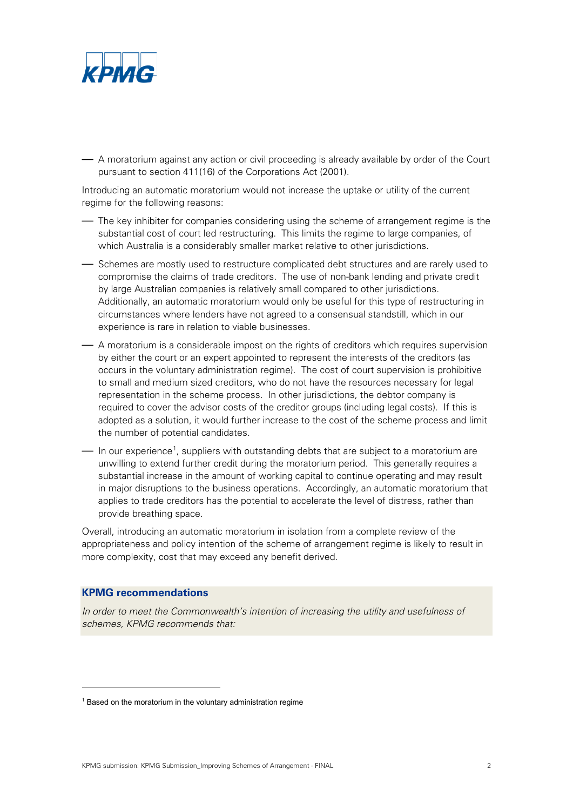

— A moratorium against any action or civil proceeding is already available by order of the Court pursuant to section 411(16) of the Corporations Act (2001).

Introducing an automatic moratorium would not increase the uptake or utility of the current regime for the following reasons:

— The key inhibiter for companies considering using the scheme of arrangement regime is the substantial cost of court led restructuring. This limits the regime to large companies, of which Australia is a considerably smaller market relative to other jurisdictions.

— Schemes are mostly used to restructure complicated debt structures and are rarely used to compromise the claims of trade creditors. The use of non-bank lending and private credit by large Australian companies is relatively small compared to other jurisdictions. Additionally, an automatic moratorium would only be useful for this type of restructuring in circumstances where lenders have not agreed to a consensual standstill, which in our experience is rare in relation to viable businesses.

— A moratorium is a considerable impost on the rights of creditors which requires supervision by either the court or an expert appointed to represent the interests of the creditors (as occurs in the voluntary administration regime). The cost of court supervision is prohibitive to small and medium sized creditors, who do not have the resources necessary for legal representation in the scheme process. In other jurisdictions, the debtor company is required to cover the advisor costs of the creditor groups (including legal costs). If this is adopted as a solution, it would further increase to the cost of the scheme process and limit the number of potential candidates.

 $-$  In our experience<sup>[1](#page-1-0)</sup>, suppliers with outstanding debts that are subject to a moratorium are unwilling to extend further credit during the moratorium period. This generally requires a substantial increase in the amount of working capital to continue operating and may result in major disruptions to the business operations. Accordingly, an automatic moratorium that applies to trade creditors has the potential to accelerate the level of distress, rather than provide breathing space.

Overall, introducing an automatic moratorium in isolation from a complete review of the appropriateness and policy intention of the scheme of arrangement regime is likely to result in more complexity, cost that may exceed any benefit derived.

### **KPMG recommendations**

In order to meet the Commonwealth's intention of increasing the utility and usefulness of schemes, KPMG recommends that:

<span id="page-1-0"></span> $1$  Based on the moratorium in the voluntary administration regime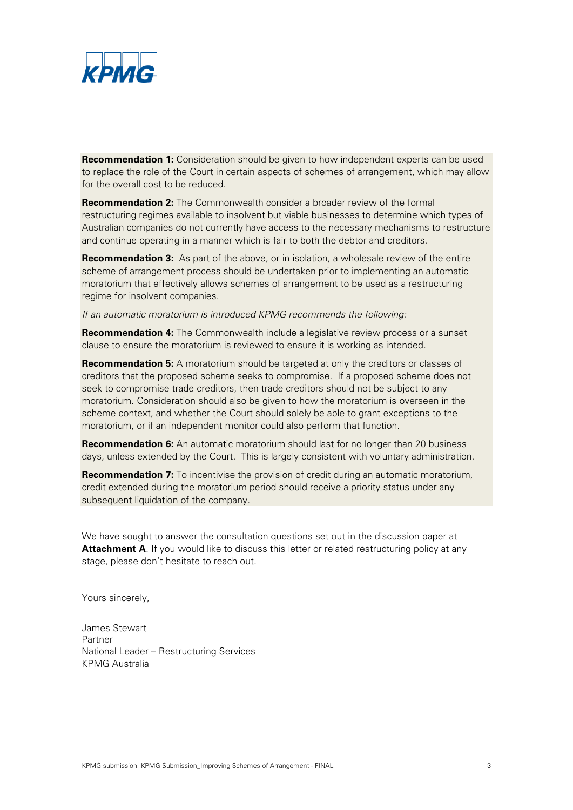

**Recommendation 1:** Consideration should be given to how independent experts can be used to replace the role of the Court in certain aspects of schemes of arrangement, which may allow for the overall cost to be reduced.

**Recommendation 2:** The Commonwealth consider a broader review of the formal restructuring regimes available to insolvent but viable businesses to determine which types of Australian companies do not currently have access to the necessary mechanisms to restructure and continue operating in a manner which is fair to both the debtor and creditors.

**Recommendation 3:** As part of the above, or in isolation, a wholesale review of the entire scheme of arrangement process should be undertaken prior to implementing an automatic moratorium that effectively allows schemes of arrangement to be used as a restructuring regime for insolvent companies.

If an automatic moratorium is introduced KPMG recommends the following:

**Recommendation 4:** The Commonwealth include a legislative review process or a sunset clause to ensure the moratorium is reviewed to ensure it is working as intended.

**Recommendation 5:** A moratorium should be targeted at only the creditors or classes of creditors that the proposed scheme seeks to compromise. If a proposed scheme does not seek to compromise trade creditors, then trade creditors should not be subject to any moratorium. Consideration should also be given to how the moratorium is overseen in the scheme context, and whether the Court should solely be able to grant exceptions to the moratorium, or if an independent monitor could also perform that function.

**Recommendation 6:** An automatic moratorium should last for no longer than 20 business days, unless extended by the Court. This is largely consistent with voluntary administration.

**Recommendation 7:** To incentivise the provision of credit during an automatic moratorium, credit extended during the moratorium period should receive a priority status under any subsequent liquidation of the company.

We have sought to answer the consultation questions set out in the discussion paper at **Attachment A**. If you would like to discuss this letter or related restructuring policy at any stage, please don't hesitate to reach out.

Yours sincerely,

James Stewart Partner National Leader – Restructuring Services KPMG Australia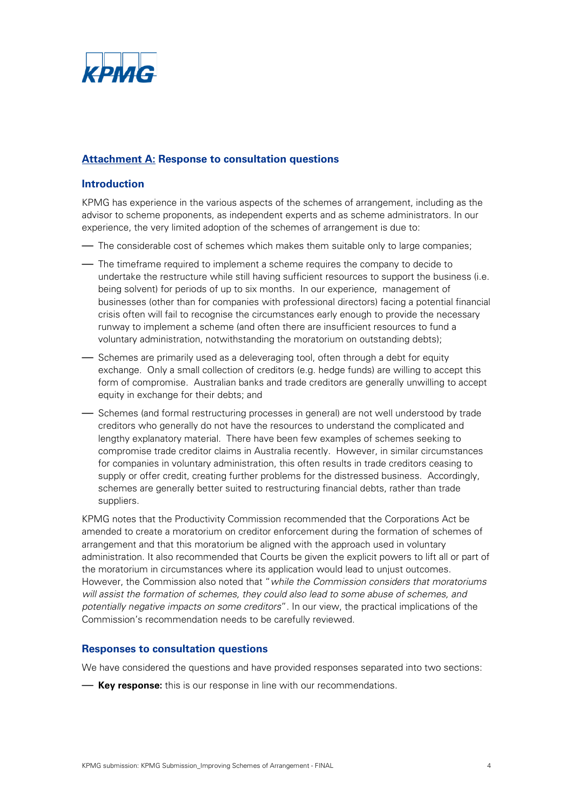

# **Attachment A: Response to consultation questions**

## **Introduction**

KPMG has experience in the various aspects of the schemes of arrangement, including as the advisor to scheme proponents, as independent experts and as scheme administrators. In our experience, the very limited adoption of the schemes of arrangement is due to:

- The considerable cost of schemes which makes them suitable only to large companies;
- The timeframe required to implement a scheme requires the company to decide to undertake the restructure while still having sufficient resources to support the business (i.e. being solvent) for periods of up to six months. In our experience, management of businesses (other than for companies with professional directors) facing a potential financial crisis often will fail to recognise the circumstances early enough to provide the necessary runway to implement a scheme (and often there are insufficient resources to fund a voluntary administration, notwithstanding the moratorium on outstanding debts);
- Schemes are primarily used as a deleveraging tool, often through a debt for equity exchange. Only a small collection of creditors (e.g. hedge funds) are willing to accept this form of compromise. Australian banks and trade creditors are generally unwilling to accept equity in exchange for their debts; and
- Schemes (and formal restructuring processes in general) are not well understood by trade creditors who generally do not have the resources to understand the complicated and lengthy explanatory material. There have been few examples of schemes seeking to compromise trade creditor claims in Australia recently. However, in similar circumstances for companies in voluntary administration, this often results in trade creditors ceasing to supply or offer credit, creating further problems for the distressed business. Accordingly, schemes are generally better suited to restructuring financial debts, rather than trade suppliers.

KPMG notes that the Productivity Commission recommended that the Corporations Act be amended to create a moratorium on creditor enforcement during the formation of schemes of arrangement and that this moratorium be aligned with the approach used in voluntary administration. It also recommended that Courts be given the explicit powers to lift all or part of the moratorium in circumstances where its application would lead to unjust outcomes. However, the Commission also noted that "while the Commission considers that moratoriums will assist the formation of schemes, they could also lead to some abuse of schemes, and potentially negative impacts on some creditors". In our view, the practical implications of the Commission's recommendation needs to be carefully reviewed.

## **Responses to consultation questions**

We have considered the questions and have provided responses separated into two sections:

— **Key response:** this is our response in line with our recommendations.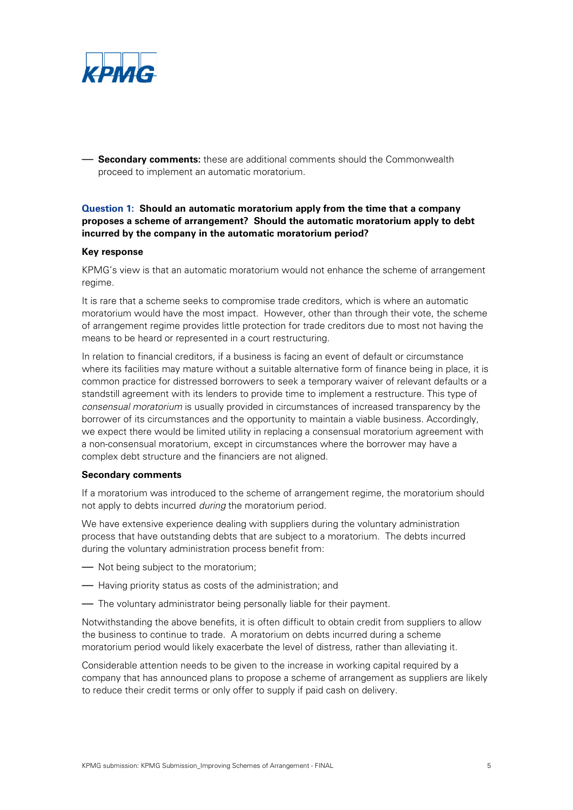

— **Secondary comments:** these are additional comments should the Commonwealth proceed to implement an automatic moratorium.

## **Question 1: Should an automatic moratorium apply from the time that a company proposes a scheme of arrangement? Should the automatic moratorium apply to debt incurred by the company in the automatic moratorium period?**

#### **Key response**

KPMG's view is that an automatic moratorium would not enhance the scheme of arrangement regime.

It is rare that a scheme seeks to compromise trade creditors, which is where an automatic moratorium would have the most impact. However, other than through their vote, the scheme of arrangement regime provides little protection for trade creditors due to most not having the means to be heard or represented in a court restructuring.

In relation to financial creditors, if a business is facing an event of default or circumstance where its facilities may mature without a suitable alternative form of finance being in place, it is common practice for distressed borrowers to seek a temporary waiver of relevant defaults or a standstill agreement with its lenders to provide time to implement a restructure. This type of consensual moratorium is usually provided in circumstances of increased transparency by the borrower of its circumstances and the opportunity to maintain a viable business. Accordingly, we expect there would be limited utility in replacing a consensual moratorium agreement with a non-consensual moratorium, except in circumstances where the borrower may have a complex debt structure and the financiers are not aligned.

#### **Secondary comments**

If a moratorium was introduced to the scheme of arrangement regime, the moratorium should not apply to debts incurred during the moratorium period.

We have extensive experience dealing with suppliers during the voluntary administration process that have outstanding debts that are subject to a moratorium. The debts incurred during the voluntary administration process benefit from:

- Not being subject to the moratorium;
- Having priority status as costs of the administration; and
- The voluntary administrator being personally liable for their payment.

Notwithstanding the above benefits, it is often difficult to obtain credit from suppliers to allow the business to continue to trade. A moratorium on debts incurred during a scheme moratorium period would likely exacerbate the level of distress, rather than alleviating it.

Considerable attention needs to be given to the increase in working capital required by a company that has announced plans to propose a scheme of arrangement as suppliers are likely to reduce their credit terms or only offer to supply if paid cash on delivery.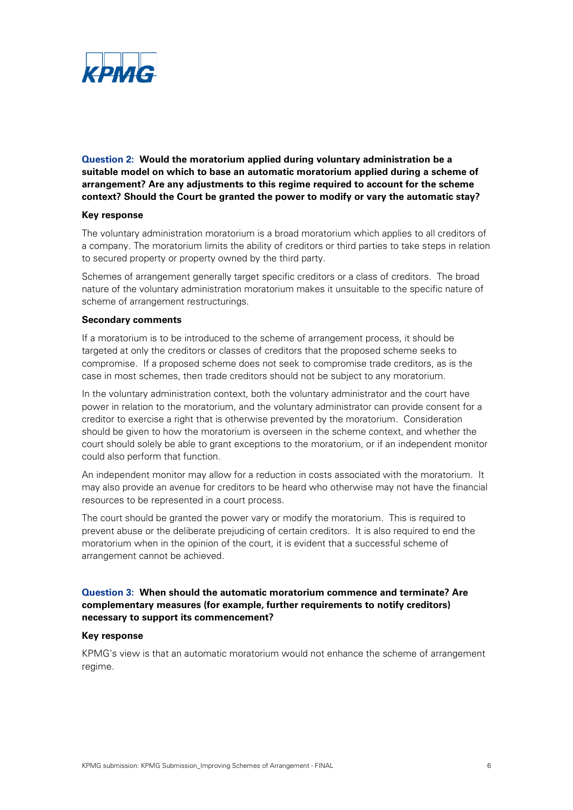

**Question 2: Would the moratorium applied during voluntary administration be a suitable model on which to base an automatic moratorium applied during a scheme of arrangement? Are any adjustments to this regime required to account for the scheme context? Should the Court be granted the power to modify or vary the automatic stay?** 

#### **Key response**

The voluntary administration moratorium is a broad moratorium which applies to all creditors of a company. The moratorium limits the ability of creditors or third parties to take steps in relation to secured property or property owned by the third party.

Schemes of arrangement generally target specific creditors or a class of creditors. The broad nature of the voluntary administration moratorium makes it unsuitable to the specific nature of scheme of arrangement restructurings.

#### **Secondary comments**

If a moratorium is to be introduced to the scheme of arrangement process, it should be targeted at only the creditors or classes of creditors that the proposed scheme seeks to compromise. If a proposed scheme does not seek to compromise trade creditors, as is the case in most schemes, then trade creditors should not be subject to any moratorium.

In the voluntary administration context, both the voluntary administrator and the court have power in relation to the moratorium, and the voluntary administrator can provide consent for a creditor to exercise a right that is otherwise prevented by the moratorium. Consideration should be given to how the moratorium is overseen in the scheme context, and whether the court should solely be able to grant exceptions to the moratorium, or if an independent monitor could also perform that function.

An independent monitor may allow for a reduction in costs associated with the moratorium. It may also provide an avenue for creditors to be heard who otherwise may not have the financial resources to be represented in a court process.

The court should be granted the power vary or modify the moratorium. This is required to prevent abuse or the deliberate prejudicing of certain creditors. It is also required to end the moratorium when in the opinion of the court, it is evident that a successful scheme of arrangement cannot be achieved.

## **Question 3: When should the automatic moratorium commence and terminate? Are complementary measures (for example, further requirements to notify creditors) necessary to support its commencement?**

### **Key response**

KPMG's view is that an automatic moratorium would not enhance the scheme of arrangement regime.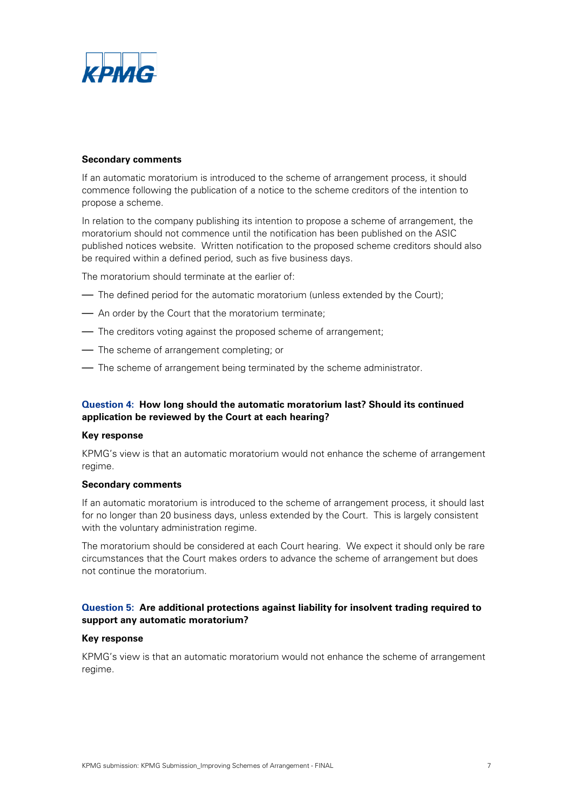

### **Secondary comments**

If an automatic moratorium is introduced to the scheme of arrangement process, it should commence following the publication of a notice to the scheme creditors of the intention to propose a scheme.

In relation to the company publishing its intention to propose a scheme of arrangement, the moratorium should not commence until the notification has been published on the ASIC published notices website. Written notification to the proposed scheme creditors should also be required within a defined period, such as five business days.

The moratorium should terminate at the earlier of:

- The defined period for the automatic moratorium (unless extended by the Court);
- An order by the Court that the moratorium terminate;
- The creditors voting against the proposed scheme of arrangement;
- The scheme of arrangement completing; or
- The scheme of arrangement being terminated by the scheme administrator.

## **Question 4: How long should the automatic moratorium last? Should its continued application be reviewed by the Court at each hearing?**

#### **Key response**

KPMG's view is that an automatic moratorium would not enhance the scheme of arrangement regime.

#### **Secondary comments**

If an automatic moratorium is introduced to the scheme of arrangement process, it should last for no longer than 20 business days, unless extended by the Court. This is largely consistent with the voluntary administration regime.

The moratorium should be considered at each Court hearing. We expect it should only be rare circumstances that the Court makes orders to advance the scheme of arrangement but does not continue the moratorium.

## **Question 5: Are additional protections against liability for insolvent trading required to support any automatic moratorium?**

#### **Key response**

KPMG's view is that an automatic moratorium would not enhance the scheme of arrangement regime.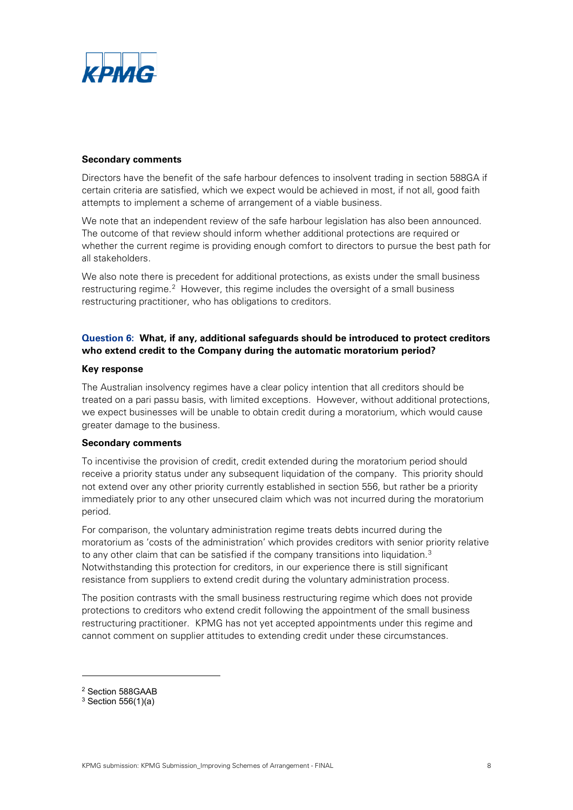

### **Secondary comments**

Directors have the benefit of the safe harbour defences to insolvent trading in section 588GA if certain criteria are satisfied, which we expect would be achieved in most, if not all, good faith attempts to implement a scheme of arrangement of a viable business.

We note that an independent review of the safe harbour legislation has also been announced. The outcome of that review should inform whether additional protections are required or whether the current regime is providing enough comfort to directors to pursue the best path for all stakeholders.

We also note there is precedent for additional protections, as exists under the small business restructuring regime. [2](#page-7-0) However, this regime includes the oversight of a small business restructuring practitioner, who has obligations to creditors.

## **Question 6: What, if any, additional safeguards should be introduced to protect creditors who extend credit to the Company during the automatic moratorium period?**

#### **Key response**

The Australian insolvency regimes have a clear policy intention that all creditors should be treated on a pari passu basis, with limited exceptions. However, without additional protections, we expect businesses will be unable to obtain credit during a moratorium, which would cause greater damage to the business.

#### **Secondary comments**

To incentivise the provision of credit, credit extended during the moratorium period should receive a priority status under any subsequent liquidation of the company. This priority should not extend over any other priority currently established in section 556, but rather be a priority immediately prior to any other unsecured claim which was not incurred during the moratorium period.

For comparison, the voluntary administration regime treats debts incurred during the moratorium as 'costs of the administration' which provides creditors with senior priority relative to any other claim that can be satisfied if the company transitions into liquidation. $^3$ Notwithstanding this protection for creditors, in our experience there is still significant resistance from suppliers to extend credit during the voluntary administration process.

The position contrasts with the small business restructuring regime which does not provide protections to creditors who extend credit following the appointment of the small business restructuring practitioner. KPMG has not yet accepted appointments under this regime and cannot comment on supplier attitudes to extending credit under these circumstances.

<span id="page-7-0"></span><sup>2</sup> Section 588GAAB

<span id="page-7-1"></span> $3$  Section 556(1)(a)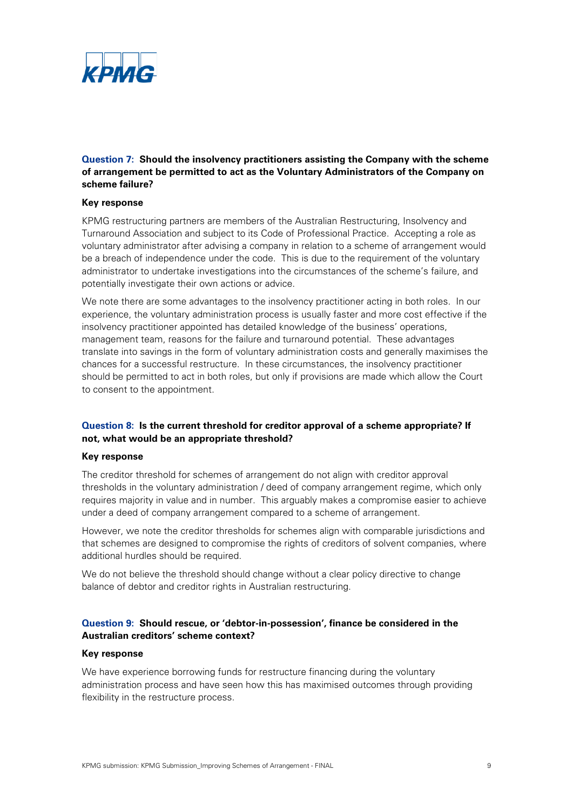

**Question 7: Should the insolvency practitioners assisting the Company with the scheme of arrangement be permitted to act as the Voluntary Administrators of the Company on scheme failure?**

#### **Key response**

KPMG restructuring partners are members of the Australian Restructuring, Insolvency and Turnaround Association and subject to its Code of Professional Practice. Accepting a role as voluntary administrator after advising a company in relation to a scheme of arrangement would be a breach of independence under the code. This is due to the requirement of the voluntary administrator to undertake investigations into the circumstances of the scheme's failure, and potentially investigate their own actions or advice.

We note there are some advantages to the insolvency practitioner acting in both roles. In our experience, the voluntary administration process is usually faster and more cost effective if the insolvency practitioner appointed has detailed knowledge of the business' operations, management team, reasons for the failure and turnaround potential. These advantages translate into savings in the form of voluntary administration costs and generally maximises the chances for a successful restructure. In these circumstances, the insolvency practitioner should be permitted to act in both roles, but only if provisions are made which allow the Court to consent to the appointment.

## **Question 8: Is the current threshold for creditor approval of a scheme appropriate? If not, what would be an appropriate threshold?**

#### **Key response**

The creditor threshold for schemes of arrangement do not align with creditor approval thresholds in the voluntary administration / deed of company arrangement regime, which only requires majority in value and in number. This arguably makes a compromise easier to achieve under a deed of company arrangement compared to a scheme of arrangement.

However, we note the creditor thresholds for schemes align with comparable jurisdictions and that schemes are designed to compromise the rights of creditors of solvent companies, where additional hurdles should be required.

We do not believe the threshold should change without a clear policy directive to change balance of debtor and creditor rights in Australian restructuring.

## **Question 9: Should rescue, or 'debtor-in-possession', finance be considered in the Australian creditors' scheme context?**

#### **Key response**

We have experience borrowing funds for restructure financing during the voluntary administration process and have seen how this has maximised outcomes through providing flexibility in the restructure process.